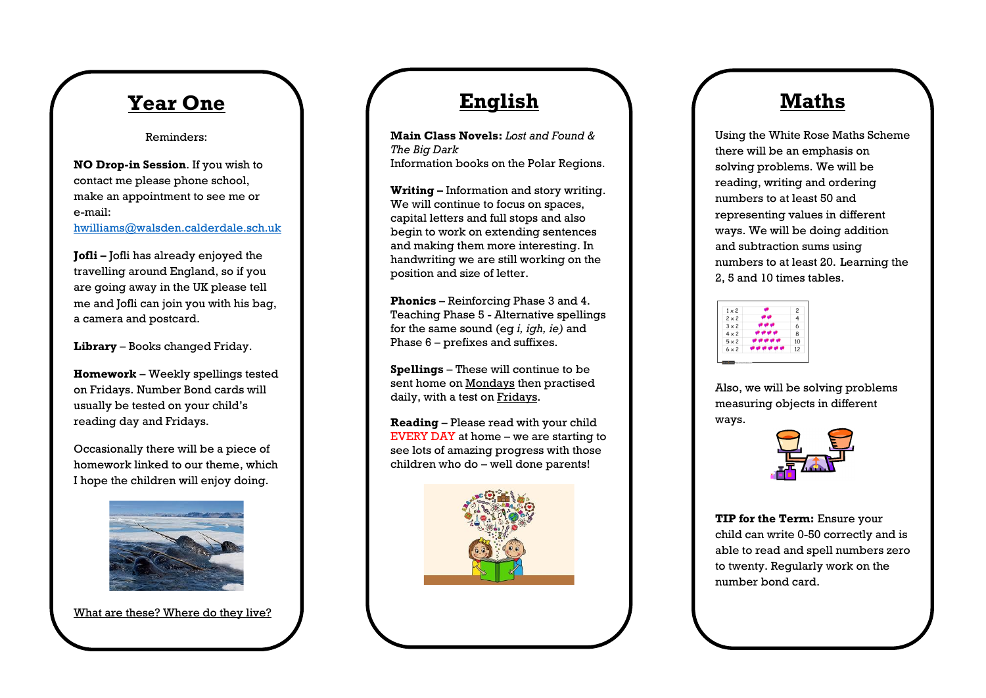## **Year One**

Reminders:

**NO Drop-in Session**. If you wish to contact me please phone school, make an appointment to see me or e-mail:

[hwilliams@walsden.calderdale.sch.uk](mailto:hwilliams@walsden.calderdale.sch.uk)

**Jofli –** Jofli has already enjoyed the travelling around England, so if you are going away in the UK please tell me and Jofli can join you with his bag, a camera and postcard.

**Library** – Books changed Friday.

**Homework** – Weekly spellings tested on Fridays. Number Bond cards will usually be tested on your child's reading day and Fridays.

Occasionally there will be a piece of homework linked to our theme, which I hope the children will enjoy doing.



What are these? Where do they live?

## **English**

**Main Class Novels:** *Lost and Found & The Big Dark* Information books on the Polar Regions.

**Writing –** Information and story writing. We will continue to focus on spaces, capital letters and full stops and also begin to work on extending sentences and making them more interesting. In handwriting we are still working on the position and size of letter.

**Phonics** – Reinforcing Phase 3 and 4. Teaching Phase 5 - Alternative spellings for the same sound (eg *i, igh, ie)* and Phase 6 – prefixes and suffixes.

**Spellings** – These will continue to be sent home on Mondays then practised daily, with a test on Fridays.

**Reading** – Please read with your child EVERY DAY at home – we are starting to see lots of amazing progress with those children who do – well done parents!



## **Maths**

Using the White Rose Maths Scheme there will be an emphasis on solving problems. We will be reading, writing and ordering numbers to at least 50 and representing values in different ways. We will be doing addition and subtraction sums using numbers to at least 20. Learning the 2, 5 and 10 times tables.

| $1 \times 2$ | $\overline{c}$ |
|--------------|----------------|
| $2 \times 2$ | 4              |
| $3 \times 2$ | 6              |
| $4 \times 2$ | 8              |
| $5 \times 2$ | 10             |
| $6 \times 2$ | 12             |

Also, we will be solving problems measuring objects in different ways.



**TIP for the Term:** Ensure your child can write 0-50 correctly and is able to read and spell numbers zero to twenty. Regularly work on the number bond card.